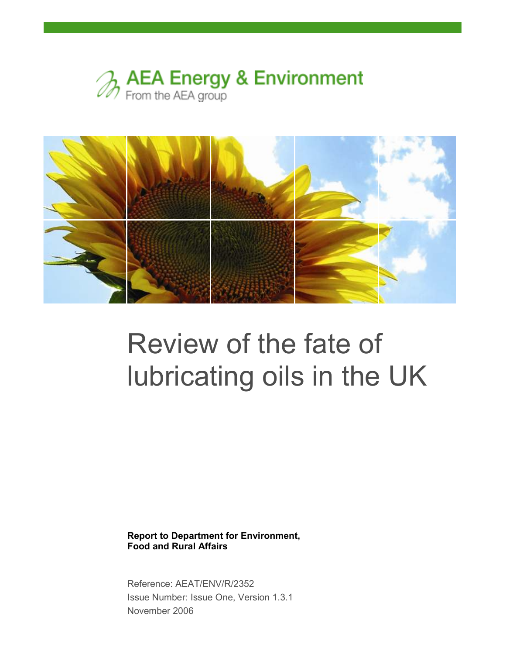



# Review of the fate of lubricating oils in the UK

Report to Department for Environment, Food and Rural Affairs

Reference: AEAT/ENV/R/2352 Issue Number: Issue One, Version 1.3.1 November 2006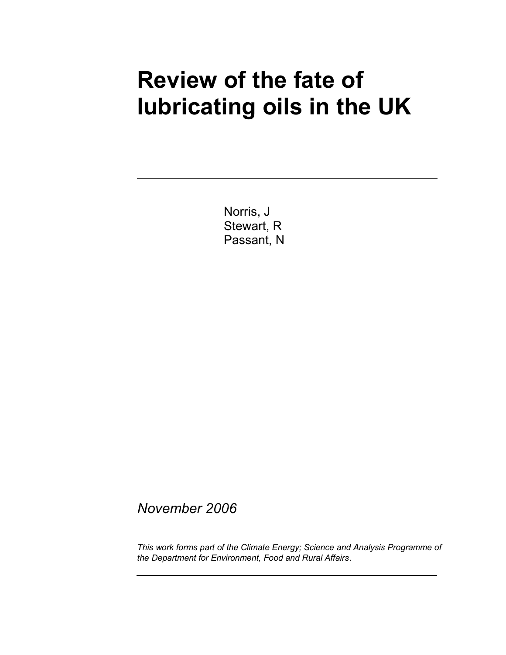## Review of the fate of lubricating oils in the UK

Norris, J Stewart, R Passant, N

November 2006

This work forms part of the Climate Energy; Science and Analysis Programme of the Department for Environment, Food and Rural Affairs.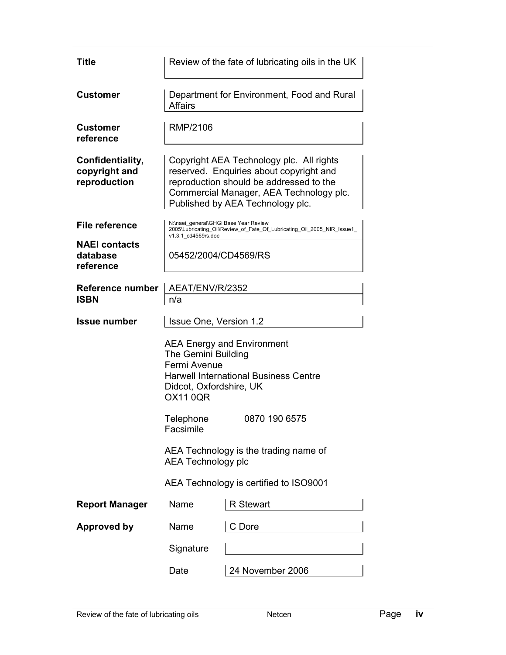| Title                                             | Review of the fate of lubricating oils in the UK                                                                                                                                                                                                                                        |                                                                         |  |
|---------------------------------------------------|-----------------------------------------------------------------------------------------------------------------------------------------------------------------------------------------------------------------------------------------------------------------------------------------|-------------------------------------------------------------------------|--|
| <b>Customer</b>                                   | Department for Environment, Food and Rural<br><b>Affairs</b>                                                                                                                                                                                                                            |                                                                         |  |
| <b>Customer</b><br>reference                      | RMP/2106                                                                                                                                                                                                                                                                                |                                                                         |  |
| Confidentiality,<br>copyright and<br>reproduction | Copyright AEA Technology plc. All rights<br>reserved. Enquiries about copyright and<br>reproduction should be addressed to the<br>Commercial Manager, AEA Technology plc.<br>Published by AEA Technology plc.                                                                           |                                                                         |  |
| <b>File reference</b>                             | N:\naei general\GHGi Base Year Review                                                                                                                                                                                                                                                   | 2005\Lubricating_Oil\Review_of_Fate_Of_Lubricating_Oil_2005_NIR_Issue1_ |  |
| <b>NAEI contacts</b><br>database<br>reference     | v1.3.1 cd4569rs.doc<br>05452/2004/CD4569/RS                                                                                                                                                                                                                                             |                                                                         |  |
| Reference number<br><b>ISBN</b>                   | AEAT/ENV/R/2352<br>n/a                                                                                                                                                                                                                                                                  |                                                                         |  |
| <b>Issue number</b>                               | Issue One, Version 1.2                                                                                                                                                                                                                                                                  |                                                                         |  |
|                                                   | <b>AEA Energy and Environment</b><br>The Gemini Building<br>Fermi Avenue<br><b>Harwell International Business Centre</b><br>Didcot, Oxfordshire, UK<br><b>OX11 0QR</b><br>Telephone<br>0870 190 6575<br>Facsimile<br>AEA Technology is the trading name of<br><b>AEA Technology plc</b> |                                                                         |  |
|                                                   |                                                                                                                                                                                                                                                                                         | AEA Technology is certified to ISO9001                                  |  |
| <b>Report Manager</b>                             | Name                                                                                                                                                                                                                                                                                    | <b>R</b> Stewart                                                        |  |
| <b>Approved by</b>                                | Name                                                                                                                                                                                                                                                                                    | C Dore                                                                  |  |
|                                                   | Signature                                                                                                                                                                                                                                                                               |                                                                         |  |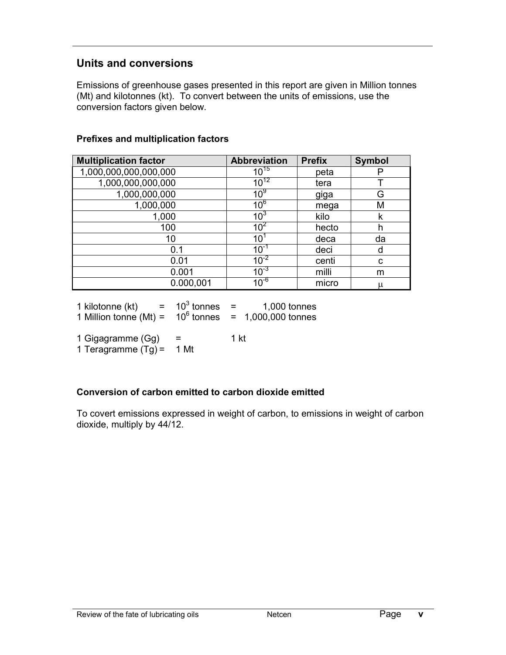### Units and conversions

Emissions of greenhouse gases presented in this report are given in Million tonnes (Mt) and kilotonnes (kt). To convert between the units of emissions, use the conversion factors given below.

#### Prefixes and multiplication factors

| <b>Multiplication factor</b> | <b>Abbreviation</b> | <b>Prefix</b> | <b>Symbol</b> |
|------------------------------|---------------------|---------------|---------------|
| 1,000,000,000,000,000        | $10^{15}$           | peta          |               |
| 1,000,000,000,000            | $10^{12}$           | tera          |               |
| 1,000,000,000                | 10 <sup>9</sup>     | giga          | G             |
| 1,000,000                    | 10 <sup>6</sup>     | mega          | М             |
| 1,000                        | $10^{3}$            | kilo          | k             |
| 100                          | 10 <sup>2</sup>     | hecto         | h             |
| 10                           | 10                  | deca          | da            |
| 0.1                          | $10^{-1}$           | deci          | d             |
| 0.01                         | $10^{-2}$           | centi         | C             |
| 0.001                        | $10^{-3}$           | milli         | m             |
| 0.000,001                    | $10^{-6}$           | micro         | μ             |

| 1 kilotonne (kt)         | 10 $3$ tonnes | 1,000 tonnes     |
|--------------------------|---------------|------------------|
| 1 Million tonne $(Mt) =$ | $10^6$ tonnes | 1,000,000 tonnes |

1 Gigagramme  $(Gg) = 1$  kt 1 Teragramme  $(Tg) = 1$  Mt

#### Conversion of carbon emitted to carbon dioxide emitted

To covert emissions expressed in weight of carbon, to emissions in weight of carbon dioxide, multiply by 44/12.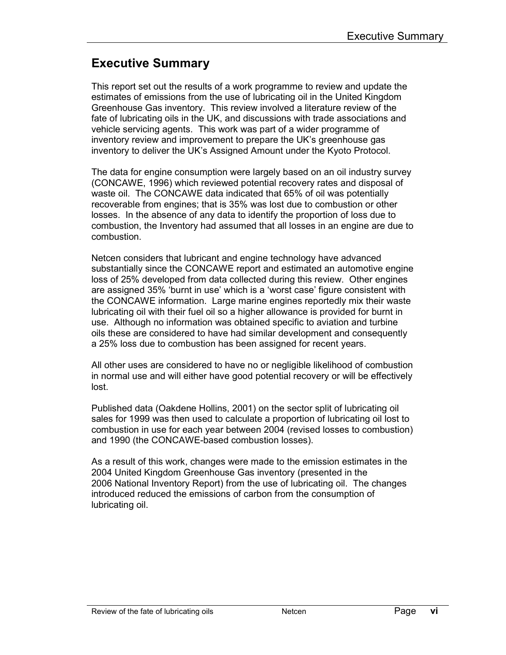### Executive Summary

This report set out the results of a work programme to review and update the estimates of emissions from the use of lubricating oil in the United Kingdom Greenhouse Gas inventory. This review involved a literature review of the fate of lubricating oils in the UK, and discussions with trade associations and vehicle servicing agents. This work was part of a wider programme of inventory review and improvement to prepare the UK's greenhouse gas inventory to deliver the UK's Assigned Amount under the Kyoto Protocol.

The data for engine consumption were largely based on an oil industry survey (CONCAWE, 1996) which reviewed potential recovery rates and disposal of waste oil. The CONCAWE data indicated that 65% of oil was potentially recoverable from engines; that is 35% was lost due to combustion or other losses. In the absence of any data to identify the proportion of loss due to combustion, the Inventory had assumed that all losses in an engine are due to combustion.

Netcen considers that lubricant and engine technology have advanced substantially since the CONCAWE report and estimated an automotive engine loss of 25% developed from data collected during this review. Other engines are assigned 35% 'burnt in use' which is a 'worst case' figure consistent with the CONCAWE information. Large marine engines reportedly mix their waste lubricating oil with their fuel oil so a higher allowance is provided for burnt in use. Although no information was obtained specific to aviation and turbine oils these are considered to have had similar development and consequently a 25% loss due to combustion has been assigned for recent years.

All other uses are considered to have no or negligible likelihood of combustion in normal use and will either have good potential recovery or will be effectively lost.

Published data (Oakdene Hollins, 2001) on the sector split of lubricating oil sales for 1999 was then used to calculate a proportion of lubricating oil lost to combustion in use for each year between 2004 (revised losses to combustion) and 1990 (the CONCAWE-based combustion losses).

As a result of this work, changes were made to the emission estimates in the 2004 United Kingdom Greenhouse Gas inventory (presented in the 2006 National Inventory Report) from the use of lubricating oil. The changes introduced reduced the emissions of carbon from the consumption of lubricating oil.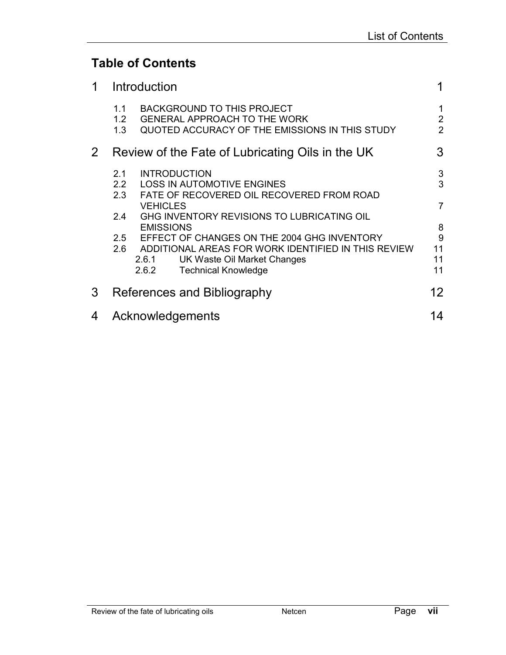### Table of Contents

| 1     |                                | Introduction                                                                                                                                                                      | 1                                     |
|-------|--------------------------------|-----------------------------------------------------------------------------------------------------------------------------------------------------------------------------------|---------------------------------------|
|       | 1.1<br>1.2 <sub>2</sub><br>1.3 | <b>BACKGROUND TO THIS PROJECT</b><br><b>GENERAL APPROACH TO THE WORK</b><br>QUOTED ACCURACY OF THE EMISSIONS IN THIS STUDY                                                        | 1<br>$\overline{2}$<br>$\overline{2}$ |
| $2\,$ |                                | Review of the Fate of Lubricating Oils in the UK                                                                                                                                  | 3                                     |
|       | 2.1<br>2.2<br>2.3              | <b>INTRODUCTION</b><br><b>LOSS IN AUTOMOTIVE ENGINES</b><br>FATE OF RECOVERED OIL RECOVERED FROM ROAD                                                                             | 3<br>3                                |
|       | 2.4                            | <b>VEHICLES</b><br>GHG INVENTORY REVISIONS TO LUBRICATING OIL<br><b>EMISSIONS</b>                                                                                                 | 7<br>8                                |
|       | 2.5<br>2.6                     | EFFECT OF CHANGES ON THE 2004 GHG INVENTORY<br>ADDITIONAL AREAS FOR WORK IDENTIFIED IN THIS REVIEW<br>2.6.1<br>UK Waste Oil Market Changes<br><b>Technical Knowledge</b><br>2.6.2 | 9<br>11<br>11<br>11                   |
| 3     |                                | References and Bibliography                                                                                                                                                       | 12                                    |
| 4     |                                | Acknowledgements                                                                                                                                                                  | 14                                    |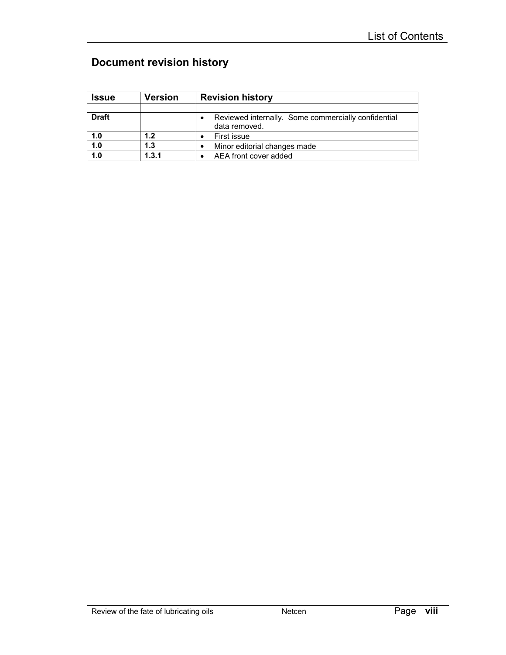### Document revision history

| <b>Issue</b> | Version | <b>Revision history</b>                                              |
|--------------|---------|----------------------------------------------------------------------|
|              |         |                                                                      |
| <b>Draft</b> |         | Reviewed internally. Some commercially confidential<br>data removed. |
| 1.0          | 1.2     | First issue                                                          |
| 1.0          | 1.3     | Minor editorial changes made                                         |
| 1.0          | 1.3.1   | AEA front cover added                                                |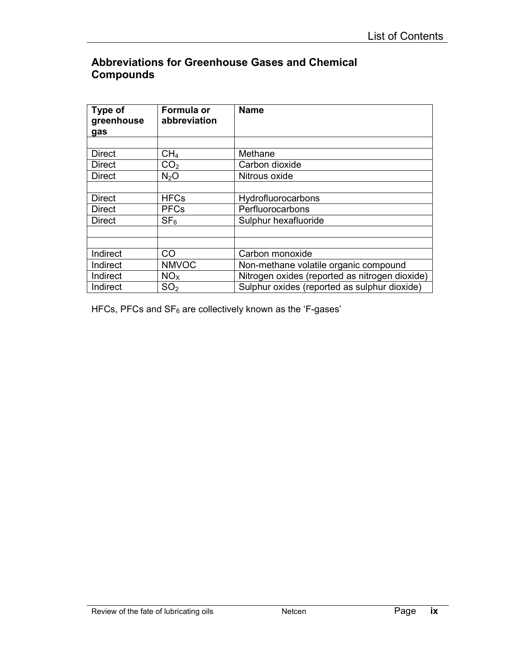### Abbreviations for Greenhouse Gases and Chemical **Compounds**

| Type of<br>greenhouse<br>gas | Formula or<br>abbreviation | <b>Name</b>                                    |  |
|------------------------------|----------------------------|------------------------------------------------|--|
|                              |                            |                                                |  |
| <b>Direct</b>                | CH <sub>4</sub>            | Methane                                        |  |
| <b>Direct</b>                | CO <sub>2</sub>            | Carbon dioxide                                 |  |
| <b>Direct</b>                | N <sub>2</sub> O           | Nitrous oxide                                  |  |
|                              |                            |                                                |  |
| <b>Direct</b>                | <b>HFCs</b>                | Hydrofluorocarbons                             |  |
| <b>Direct</b>                | <b>PFCs</b>                | Perfluorocarbons                               |  |
| <b>Direct</b>                | SF <sub>6</sub>            | Sulphur hexafluoride                           |  |
|                              |                            |                                                |  |
|                              |                            |                                                |  |
| Indirect                     | CO                         | Carbon monoxide                                |  |
| Indirect                     | <b>NMVOC</b>               | Non-methane volatile organic compound          |  |
| Indirect                     | NO <sub>x</sub>            | Nitrogen oxides (reported as nitrogen dioxide) |  |
| Indirect                     | SO <sub>2</sub>            | Sulphur oxides (reported as sulphur dioxide)   |  |

HFCs, PFCs and  $SF_6$  are collectively known as the 'F-gases'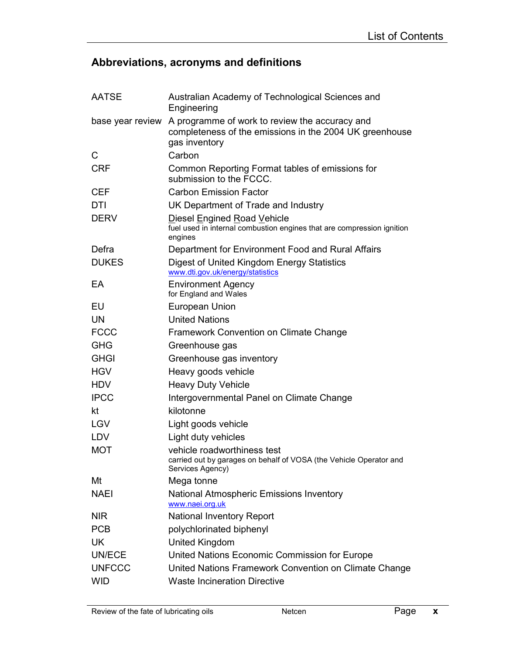### Abbreviations, acronyms and definitions

| <b>AATSE</b>     | Australian Academy of Technological Sciences and<br>Engineering                                                            |
|------------------|----------------------------------------------------------------------------------------------------------------------------|
| base year review | A programme of work to review the accuracy and<br>completeness of the emissions in the 2004 UK greenhouse<br>gas inventory |
| C                | Carbon                                                                                                                     |
| <b>CRF</b>       | Common Reporting Format tables of emissions for<br>submission to the FCCC.                                                 |
| <b>CEF</b>       | <b>Carbon Emission Factor</b>                                                                                              |
| <b>DTI</b>       | UK Department of Trade and Industry                                                                                        |
| <b>DERV</b>      | Diesel Engined Road Vehicle<br>fuel used in internal combustion engines that are compression ignition<br>engines           |
| Defra            | Department for Environment Food and Rural Affairs                                                                          |
| <b>DUKES</b>     | Digest of United Kingdom Energy Statistics<br>www.dti.gov.uk/energy/statistics                                             |
| EA               | <b>Environment Agency</b><br>for England and Wales                                                                         |
| EU               | <b>European Union</b>                                                                                                      |
| <b>UN</b>        | <b>United Nations</b>                                                                                                      |
| <b>FCCC</b>      | Framework Convention on Climate Change                                                                                     |
| <b>GHG</b>       | Greenhouse gas                                                                                                             |
| <b>GHGI</b>      | Greenhouse gas inventory                                                                                                   |
| <b>HGV</b>       | Heavy goods vehicle                                                                                                        |
| <b>HDV</b>       | <b>Heavy Duty Vehicle</b>                                                                                                  |
| <b>IPCC</b>      | Intergovernmental Panel on Climate Change                                                                                  |
| kt               | kilotonne                                                                                                                  |
| <b>LGV</b>       | Light goods vehicle                                                                                                        |
| LDV              | Light duty vehicles                                                                                                        |
| <b>MOT</b>       | vehicle roadworthiness test<br>carried out by garages on behalf of VOSA (the Vehicle Operator and<br>Services Agency)      |
| Mt               | Mega tonne                                                                                                                 |
| <b>NAEI</b>      | <b>National Atmospheric Emissions Inventory</b><br>www.naei.org.uk                                                         |
| <b>NIR</b>       | <b>National Inventory Report</b>                                                                                           |
| <b>PCB</b>       | polychlorinated biphenyl                                                                                                   |
| <b>UK</b>        | <b>United Kingdom</b>                                                                                                      |
| UN/ECE           | United Nations Economic Commission for Europe                                                                              |
| <b>UNFCCC</b>    | United Nations Framework Convention on Climate Change                                                                      |
| <b>WID</b>       | <b>Waste Incineration Directive</b>                                                                                        |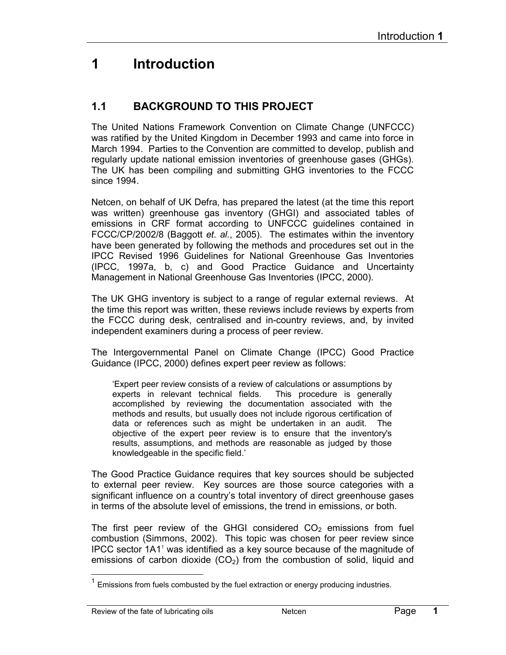### 1 Introduction

### 1.1 BACKGROUND TO THIS PROJECT

The United Nations Framework Convention on Climate Change (UNFCCC) was ratified by the United Kingdom in December 1993 and came into force in March 1994. Parties to the Convention are committed to develop, publish and regularly update national emission inventories of greenhouse gases (GHGs). The UK has been compiling and submitting GHG inventories to the FCCC since 1994.

Netcen, on behalf of UK Defra, has prepared the latest (at the time this report was written) greenhouse gas inventory (GHGI) and associated tables of emissions in CRF format according to UNFCCC guidelines contained in FCCC/CP/2002/8 (Baggott et. al., 2005). The estimates within the inventory have been generated by following the methods and procedures set out in the IPCC Revised 1996 Guidelines for National Greenhouse Gas Inventories (IPCC, 1997a, b, c) and Good Practice Guidance and Uncertainty Management in National Greenhouse Gas Inventories (IPCC, 2000).

The UK GHG inventory is subject to a range of regular external reviews. At the time this report was written, these reviews include reviews by experts from the FCCC during desk, centralised and in-country reviews, and, by invited independent examiners during a process of peer review.

The Intergovernmental Panel on Climate Change (IPCC) Good Practice Guidance (IPCC, 2000) defines expert peer review as follows:

'Expert peer review consists of a review of calculations or assumptions by experts in relevant technical fields. This procedure is generally accomplished by reviewing the documentation associated with the methods and results, but usually does not include rigorous certification of data or references such as might be undertaken in an audit. The objective of the expert peer review is to ensure that the inventory's results, assumptions, and methods are reasonable as judged by those knowledgeable in the specific field.'

The Good Practice Guidance requires that key sources should be subjected to external peer review. Key sources are those source categories with a significant influence on a country's total inventory of direct greenhouse gases in terms of the absolute level of emissions, the trend in emissions, or both.

The first peer review of the GHGI considered  $CO<sub>2</sub>$  emissions from fuel combustion (Simmons, 2002). This topic was chosen for peer review since IPCC sector 1A1<sup>1</sup> was identified as a key source because of the magnitude of emissions of carbon dioxide  $(CO<sub>2</sub>)$  from the combustion of solid, liquid and

l

 $1$  Emissions from fuels combusted by the fuel extraction or energy producing industries.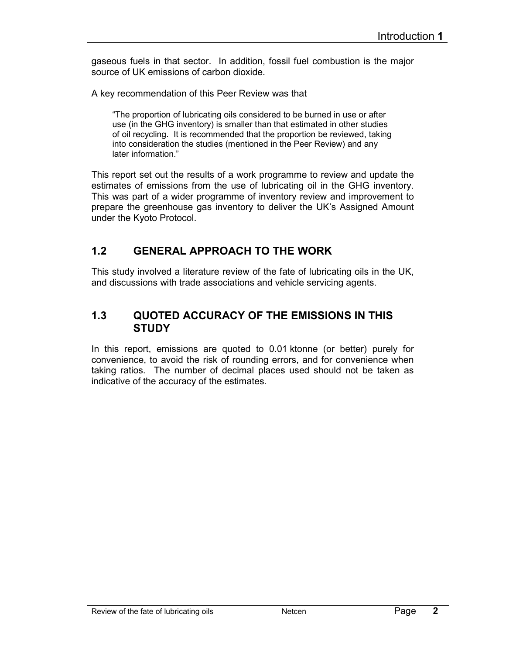gaseous fuels in that sector. In addition, fossil fuel combustion is the major source of UK emissions of carbon dioxide.

A key recommendation of this Peer Review was that

"The proportion of lubricating oils considered to be burned in use or after use (in the GHG inventory) is smaller than that estimated in other studies of oil recycling. It is recommended that the proportion be reviewed, taking into consideration the studies (mentioned in the Peer Review) and any later information."

This report set out the results of a work programme to review and update the estimates of emissions from the use of lubricating oil in the GHG inventory. This was part of a wider programme of inventory review and improvement to prepare the greenhouse gas inventory to deliver the UK's Assigned Amount under the Kyoto Protocol.

### 1.2 GENERAL APPROACH TO THE WORK

This study involved a literature review of the fate of lubricating oils in the UK, and discussions with trade associations and vehicle servicing agents.

#### 1.3 QUOTED ACCURACY OF THE EMISSIONS IN THIS **STUDY**

In this report, emissions are quoted to 0.01 ktonne (or better) purely for convenience, to avoid the risk of rounding errors, and for convenience when taking ratios. The number of decimal places used should not be taken as indicative of the accuracy of the estimates.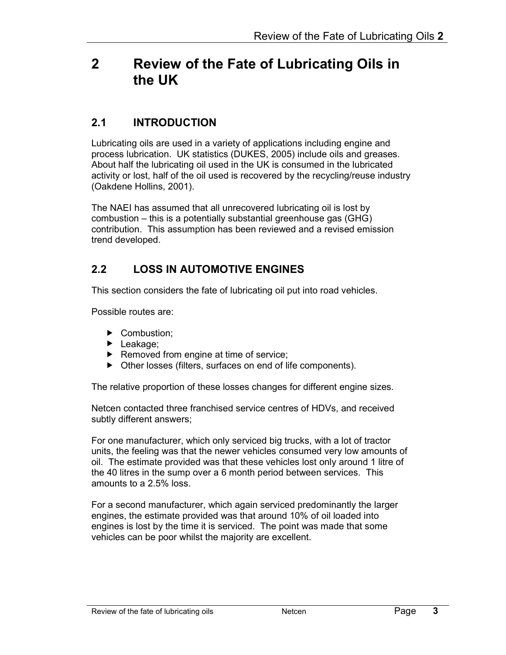### 2 Review of the Fate of Lubricating Oils in the UK

### 2.1 INTRODUCTION

Lubricating oils are used in a variety of applications including engine and process lubrication. UK statistics (DUKES, 2005) include oils and greases. About half the lubricating oil used in the UK is consumed in the lubricated activity or lost, half of the oil used is recovered by the recycling/reuse industry (Oakdene Hollins, 2001).

The NAEI has assumed that all unrecovered lubricating oil is lost by combustion – this is a potentially substantial greenhouse gas (GHG) contribution. This assumption has been reviewed and a revised emission trend developed.

### 2.2 LOSS IN AUTOMOTIVE ENGINES

This section considers the fate of lubricating oil put into road vehicles.

Possible routes are:

- Combustion;
- ▶ Leakage;
- $\blacktriangleright$  Removed from engine at time of service;
- ▶ Other losses (filters, surfaces on end of life components).

The relative proportion of these losses changes for different engine sizes.

Netcen contacted three franchised service centres of HDVs, and received subtly different answers;

For one manufacturer, which only serviced big trucks, with a lot of tractor units, the feeling was that the newer vehicles consumed very low amounts of oil. The estimate provided was that these vehicles lost only around 1 litre of the 40 litres in the sump over a 6 month period between services. This amounts to a 2.5% loss.

For a second manufacturer, which again serviced predominantly the larger engines, the estimate provided was that around 10% of oil loaded into engines is lost by the time it is serviced. The point was made that some vehicles can be poor whilst the majority are excellent.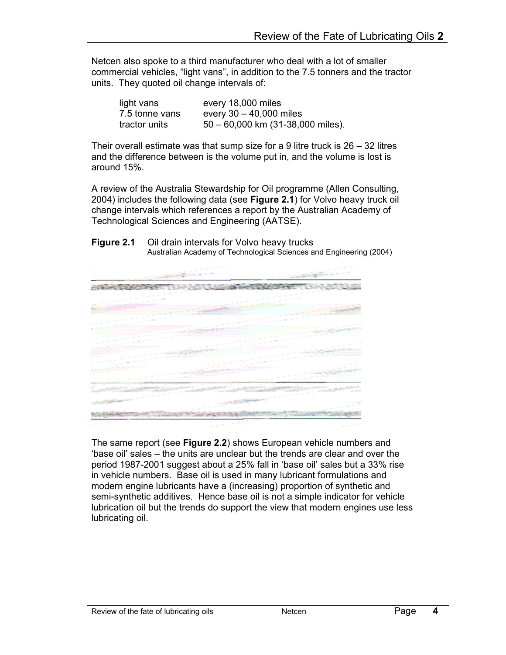Netcen also spoke to a third manufacturer who deal with a lot of smaller commercial vehicles, "light vans", in addition to the 7.5 tonners and the tractor units. They quoted oil change intervals of:

| light vans     | every 18,000 miles                    |
|----------------|---------------------------------------|
| 7.5 tonne vans | every $30 - 40,000$ miles             |
| tractor units  | $50 - 60,000$ km $(31-38,000$ miles). |

Their overall estimate was that sump size for a 9 litre truck is  $26 - 32$  litres and the difference between is the volume put in, and the volume is lost is around 15%.

A review of the Australia Stewardship for Oil programme (Allen Consulting, 2004) includes the following data (see Figure 2.1) for Volvo heavy truck oil change intervals which references a report by the Australian Academy of Technological Sciences and Engineering (AATSE).

| Figure 2.1 | Oil drain intervals for Volvo heavy trucks                          |  |  |  |  |
|------------|---------------------------------------------------------------------|--|--|--|--|
|            | Australian Academy of Technological Sciences and Engineering (2004) |  |  |  |  |



The same report (see Figure 2.2) shows European vehicle numbers and 'base oil' sales – the units are unclear but the trends are clear and over the period 1987-2001 suggest about a 25% fall in 'base oil' sales but a 33% rise in vehicle numbers. Base oil is used in many lubricant formulations and modern engine lubricants have a (increasing) proportion of synthetic and semi-synthetic additives. Hence base oil is not a simple indicator for vehicle lubrication oil but the trends do support the view that modern engines use less lubricating oil.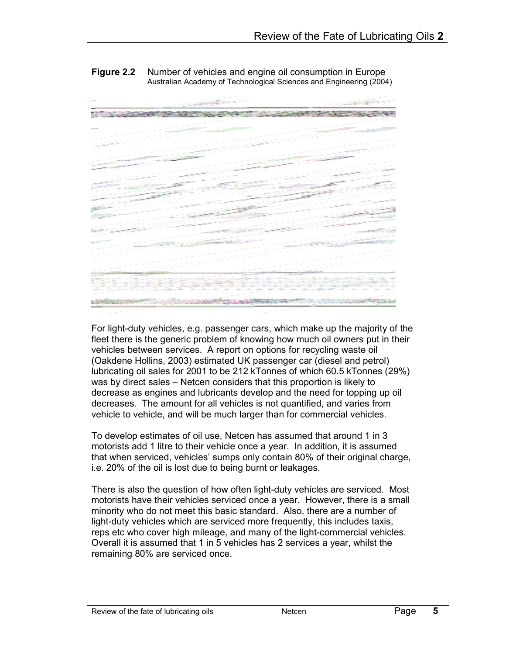



For light-duty vehicles, e.g. passenger cars, which make up the majority of the fleet there is the generic problem of knowing how much oil owners put in their vehicles between services. A report on options for recycling waste oil (Oakdene Hollins, 2003) estimated UK passenger car (diesel and petrol) lubricating oil sales for 2001 to be 212 kTonnes of which 60.5 kTonnes (29%) was by direct sales – Netcen considers that this proportion is likely to decrease as engines and lubricants develop and the need for topping up oil decreases. The amount for all vehicles is not quantified, and varies from vehicle to vehicle, and will be much larger than for commercial vehicles.

To develop estimates of oil use, Netcen has assumed that around 1 in 3 motorists add 1 litre to their vehicle once a year. In addition, it is assumed that when serviced, vehicles' sumps only contain 80% of their original charge, i.e. 20% of the oil is lost due to being burnt or leakages.

There is also the question of how often light-duty vehicles are serviced. Most motorists have their vehicles serviced once a year. However, there is a small minority who do not meet this basic standard. Also, there are a number of light-duty vehicles which are serviced more frequently, this includes taxis, reps etc who cover high mileage, and many of the light-commercial vehicles. Overall it is assumed that 1 in 5 vehicles has 2 services a year, whilst the remaining 80% are serviced once.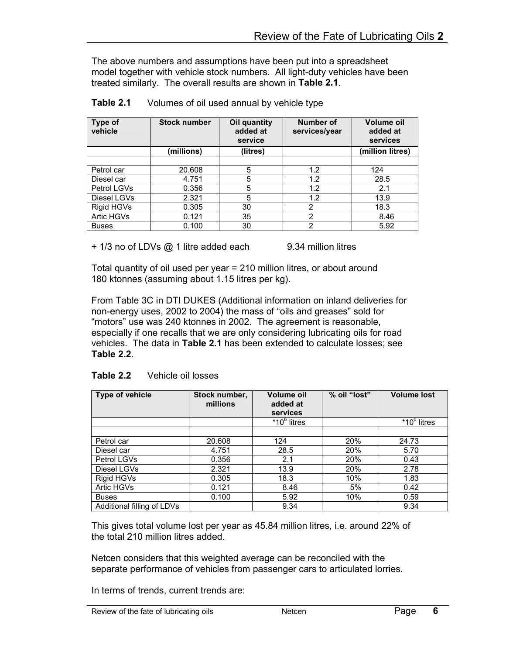The above numbers and assumptions have been put into a spreadsheet model together with vehicle stock numbers. All light-duty vehicles have been treated similarly. The overall results are shown in Table 2.1.

| <b>Type of</b><br>vehicle | <b>Stock number</b> | Oil quantity<br>added at<br>service | Number of<br>services/year | Volume oil<br>added at<br>services |
|---------------------------|---------------------|-------------------------------------|----------------------------|------------------------------------|
|                           | (millions)          | (litres)                            |                            | (million litres)                   |
|                           |                     |                                     |                            |                                    |
| Petrol car                | 20.608              | 5                                   | 1.2                        | 124                                |
| Diesel car                | 4.751               | 5                                   | 1.2                        | 28.5                               |
| Petrol LGVs               | 0.356               | 5                                   | 1.2                        | 2.1                                |
| Diesel LGVs               | 2.321               | 5                                   | 1.2                        | 13.9                               |
| Rigid HGVs                | 0.305               | 30                                  | 2                          | 18.3                               |
| Artic HGVs                | 0.121               | 35                                  | $\overline{2}$             | 8.46                               |
| <b>Buses</b>              | 0.100               | 30                                  | 2                          | 5.92                               |

+ 1/3 no of LDVs @ 1 litre added each 9.34 million litres

Total quantity of oil used per year = 210 million litres, or about around 180 ktonnes (assuming about 1.15 litres per kg).

From Table 3C in DTI DUKES (Additional information on inland deliveries for non-energy uses, 2002 to 2004) the mass of "oils and greases" sold for "motors" use was 240 ktonnes in 2002. The agreement is reasonable, especially if one recalls that we are only considering lubricating oils for road vehicles. The data in Table 2.1 has been extended to calculate losses; see Table 2.2.

| Type of vehicle            | Stock number,<br>millions | <b>Volume oil</b><br>added at<br>services | % oil "lost" | <b>Volume lost</b> |  |  |  |
|----------------------------|---------------------------|-------------------------------------------|--------------|--------------------|--|--|--|
|                            |                           | $*10^6$ litres                            |              | $*10^6$ litres     |  |  |  |
|                            |                           |                                           |              |                    |  |  |  |
| Petrol car                 | 20.608                    | 124                                       | 20%          | 24.73              |  |  |  |
| Diesel car                 | 4.751                     | 28.5                                      | 20%          | 5.70               |  |  |  |
| Petrol LGVs                | 0.356                     | 2.1                                       | 20%          | 0.43               |  |  |  |
| Diesel LGVs                | 2.321                     | 13.9                                      | 20%          | 2.78               |  |  |  |
| Rigid HGVs                 | 0.305                     | 18.3                                      | 10%          | 1.83               |  |  |  |
| Artic HGVs                 | 0.121                     | 8.46                                      | 5%           | 0.42               |  |  |  |
| <b>Buses</b>               | 0.100                     | 5.92                                      | 10%          | 0.59               |  |  |  |
| Additional filling of LDVs |                           | 9.34                                      |              | 9.34               |  |  |  |

This gives total volume lost per year as 45.84 million litres, i.e. around 22% of the total 210 million litres added.

Netcen considers that this weighted average can be reconciled with the separate performance of vehicles from passenger cars to articulated lorries.

In terms of trends, current trends are: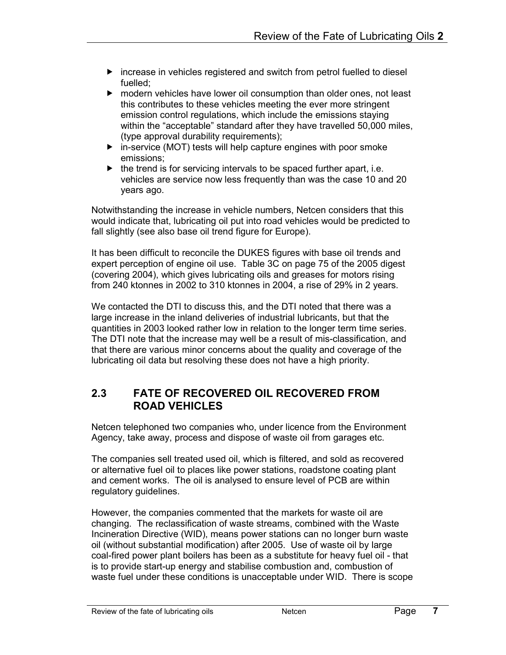- $\blacktriangleright$  increase in vehicles registered and switch from petrol fuelled to diesel fuelled;
- modern vehicles have lower oil consumption than older ones, not least this contributes to these vehicles meeting the ever more stringent emission control regulations, which include the emissions staying within the "acceptable" standard after they have travelled 50,000 miles, (type approval durability requirements);
- $\triangleright$  in-service (MOT) tests will help capture engines with poor smoke emissions;
- $\blacktriangleright$  the trend is for servicing intervals to be spaced further apart, i.e. vehicles are service now less frequently than was the case 10 and 20 years ago.

Notwithstanding the increase in vehicle numbers, Netcen considers that this would indicate that, lubricating oil put into road vehicles would be predicted to fall slightly (see also base oil trend figure for Europe).

It has been difficult to reconcile the DUKES figures with base oil trends and expert perception of engine oil use. Table 3C on page 75 of the 2005 digest (covering 2004), which gives lubricating oils and greases for motors rising from 240 ktonnes in 2002 to 310 ktonnes in 2004, a rise of 29% in 2 years.

We contacted the DTI to discuss this, and the DTI noted that there was a large increase in the inland deliveries of industrial lubricants, but that the quantities in 2003 looked rather low in relation to the longer term time series. The DTI note that the increase may well be a result of mis-classification, and that there are various minor concerns about the quality and coverage of the lubricating oil data but resolving these does not have a high priority.

### 2.3 FATE OF RECOVERED OIL RECOVERED FROM ROAD VEHICLES

Netcen telephoned two companies who, under licence from the Environment Agency, take away, process and dispose of waste oil from garages etc.

The companies sell treated used oil, which is filtered, and sold as recovered or alternative fuel oil to places like power stations, roadstone coating plant and cement works. The oil is analysed to ensure level of PCB are within regulatory guidelines.

However, the companies commented that the markets for waste oil are changing. The reclassification of waste streams, combined with the Waste Incineration Directive (WID), means power stations can no longer burn waste oil (without substantial modification) after 2005. Use of waste oil by large coal-fired power plant boilers has been as a substitute for heavy fuel oil - that is to provide start-up energy and stabilise combustion and, combustion of waste fuel under these conditions is unacceptable under WID. There is scope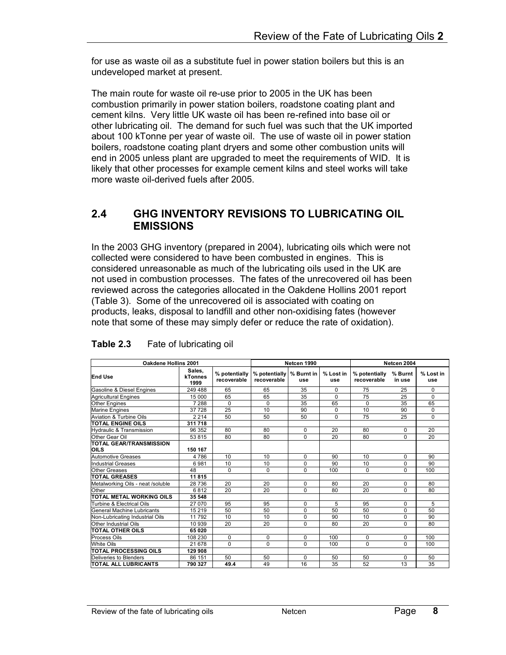for use as waste oil as a substitute fuel in power station boilers but this is an undeveloped market at present.

The main route for waste oil re-use prior to 2005 in the UK has been combustion primarily in power station boilers, roadstone coating plant and cement kilns. Very little UK waste oil has been re-refined into base oil or other lubricating oil. The demand for such fuel was such that the UK imported about 100 kTonne per year of waste oil. The use of waste oil in power station boilers, roadstone coating plant dryers and some other combustion units will end in 2005 unless plant are upgraded to meet the requirements of WID. It is likely that other processes for example cement kilns and steel works will take more waste oil-derived fuels after 2005.

#### 2.4 GHG INVENTORY REVISIONS TO LUBRICATING OIL EMISSIONS

In the 2003 GHG inventory (prepared in 2004), lubricating oils which were not collected were considered to have been combusted in engines. This is considered unreasonable as much of the lubricating oils used in the UK are not used in combustion processes. The fates of the unrecovered oil has been reviewed across the categories allocated in the Oakdene Hollins 2001 report (Table 3). Some of the unrecovered oil is associated with coating on products, leaks, disposal to landfill and other non-oxidising fates (however note that some of these may simply defer or reduce the rate of oxidation).

| <b>Oakdene Hollins 2001</b>                 |         |                              |                              | Netcen 1990       |                  |                              | Netcen 2004       |                  |  |
|---------------------------------------------|---------|------------------------------|------------------------------|-------------------|------------------|------------------------------|-------------------|------------------|--|
| Sales,<br><b>End Use</b><br>kTonnes<br>1999 |         | % potentially<br>recoverable | % potentially<br>recoverable | % Burnt in<br>use | % Lost in<br>use | % potentially<br>recoverable | % Burnt<br>in use | % Lost in<br>use |  |
| Gasoline & Diesel Engines                   | 249 488 | 65                           | 65                           | 35                | $\Omega$         | 75                           | 25                | $\Omega$         |  |
| <b>Agricultural Engines</b>                 | 15 000  | 65                           | 65                           | 35                | $\Omega$         | 75                           | 25                | $\Omega$         |  |
| <b>Other Engines</b>                        | 7 2 8 8 | 0                            | $\Omega$                     | 35                | 65               | $\Omega$                     | 35                | 65               |  |
| <b>Marine Engines</b>                       | 37 728  | 25                           | 10                           | 90                | 0                | 10                           | 90                | 0                |  |
| <b>Aviation &amp; Turbine Oils</b>          | 2 2 1 4 | 50                           | 50                           | 50                | $\Omega$         | 75                           | 25                | $\Omega$         |  |
| <b>TOTAL ENGINE OILS</b>                    | 311 718 |                              |                              |                   |                  |                              |                   |                  |  |
| <b>Hydraulic &amp; Transmission</b>         | 96 352  | 80                           | 80                           | $\Omega$          | 20               | 80                           | $\Omega$          | 20               |  |
| Other Gear Oil                              | 53 815  | 80                           | 80                           | $\Omega$          | 20               | 80                           | $\Omega$          | 20               |  |
| <b>TOTAL GEAR/TRANSMISSION</b><br>OILS      | 150 167 |                              |                              |                   |                  |                              |                   |                  |  |
| <b>Automotive Greases</b>                   | 4 7 8 6 | 10                           | 10                           | $\Omega$          | 90               | 10                           | $\Omega$          | 90               |  |
| <b>Industrial Greases</b>                   | 6981    | 10                           | 10                           | $\Omega$          | 90               | 10                           | $\Omega$          | 90               |  |
| <b>Other Greases</b>                        | 48      | 0                            | $\Omega$                     | $\Omega$          | 100              | $\Omega$                     | $\Omega$          | 100              |  |
| <b>TOTAL GREASES</b>                        | 11815   |                              |                              |                   |                  |                              |                   |                  |  |
| Metalworking Oils - neat /soluble           | 28 736  | 20                           | 20                           | $\Omega$          | 80               | 20                           | $\Omega$          | 80               |  |
| Other                                       | 6812    | 20                           | 20                           | $\Omega$          | 80               | 20                           | $\Omega$          | 80               |  |
| TOTAL METAL WORKING OILS                    | 35 548  |                              |                              |                   |                  |                              |                   |                  |  |
| <b>Turbine &amp; Electrical Oils</b>        | 27 070  | 95                           | 95                           | $\Omega$          | 5                | 95                           | 0                 | 5                |  |
| General Machine Lubricants                  | 15 219  | 50                           | 50                           | 0                 | 50               | 50                           | $\Omega$          | 50               |  |
| Non-Lubricating Industrial Oils             | 11792   | 10                           | 10                           | $\Omega$          | 90               | 10                           | 0                 | 90               |  |
| Other Industrial Oils                       | 10 939  | 20                           | 20                           | $\Omega$          | 80               | 20                           | $\Omega$          | 80               |  |
| TOTAL OTHER OILS                            | 65 020  |                              |                              |                   |                  |                              |                   |                  |  |
| Process Oils                                | 108 230 | $\Omega$                     | $\Omega$                     | $\Omega$          | 100              | $\Omega$                     | $\Omega$          | 100              |  |
| <b>White Oils</b>                           | 21 678  | $\Omega$                     | $\Omega$                     | $\Omega$          | 100              | $\Omega$                     | $\Omega$          | 100              |  |
| <b>TOTAL PROCESSING OILS</b>                | 129 908 |                              |                              |                   |                  |                              |                   |                  |  |
| Deliveries to Blenders                      | 86 151  | 50                           | 50                           | $\Omega$          | 50               | 50                           | $\Omega$          | 50               |  |
| <b>TOTAL ALL LUBRICANTS</b>                 | 790 327 | 49.4                         | 49                           | 16                | 35               | 52                           | 13                | 35               |  |

#### Table 2.3 Fate of lubricating oil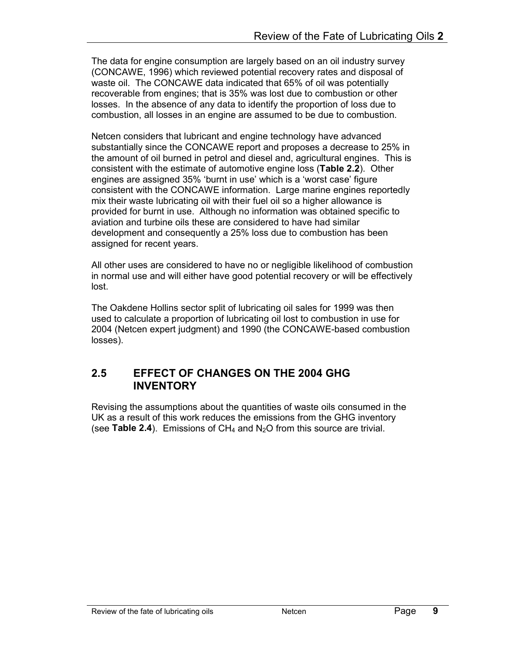The data for engine consumption are largely based on an oil industry survey (CONCAWE, 1996) which reviewed potential recovery rates and disposal of waste oil. The CONCAWE data indicated that 65% of oil was potentially recoverable from engines; that is 35% was lost due to combustion or other losses. In the absence of any data to identify the proportion of loss due to combustion, all losses in an engine are assumed to be due to combustion.

Netcen considers that lubricant and engine technology have advanced substantially since the CONCAWE report and proposes a decrease to 25% in the amount of oil burned in petrol and diesel and, agricultural engines. This is consistent with the estimate of automotive engine loss (Table 2.2). Other engines are assigned 35% 'burnt in use' which is a 'worst case' figure consistent with the CONCAWE information. Large marine engines reportedly mix their waste lubricating oil with their fuel oil so a higher allowance is provided for burnt in use. Although no information was obtained specific to aviation and turbine oils these are considered to have had similar development and consequently a 25% loss due to combustion has been assigned for recent years.

All other uses are considered to have no or negligible likelihood of combustion in normal use and will either have good potential recovery or will be effectively lost.

The Oakdene Hollins sector split of lubricating oil sales for 1999 was then used to calculate a proportion of lubricating oil lost to combustion in use for 2004 (Netcen expert judgment) and 1990 (the CONCAWE-based combustion losses).

#### 2.5 EFFECT OF CHANGES ON THE 2004 GHG **INVENTORY**

Revising the assumptions about the quantities of waste oils consumed in the UK as a result of this work reduces the emissions from the GHG inventory (see Table 2.4). Emissions of  $CH_4$  and  $N_2O$  from this source are trivial.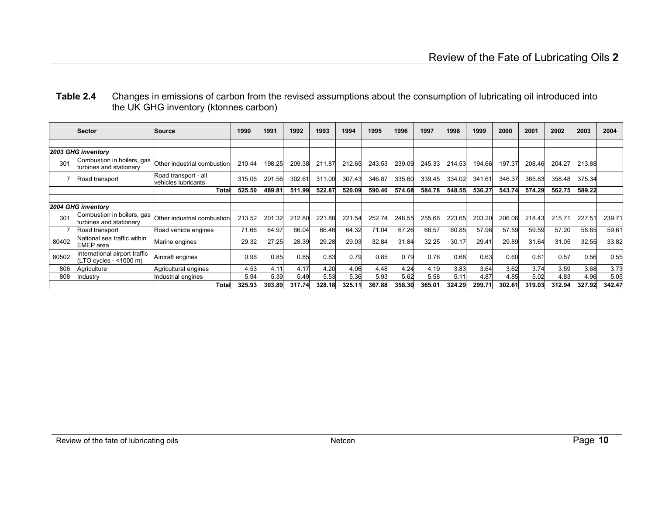| Table 2.4 | Changes in emissions of carbon from the revised assumptions about the consumption of lubricating oil introduced into |
|-----------|----------------------------------------------------------------------------------------------------------------------|
|           | the UK GHG inventory (ktonnes carbon)                                                                                |

|                    | <b>Sector</b>                                          | Source                                      | 1990   | 1991   | 1992   | 1993   | 1994   | 1995   | 1996   | 1997   | 1998   | 1999   | 2000   | 2001   | 2002   | 2003            | 2004   |
|--------------------|--------------------------------------------------------|---------------------------------------------|--------|--------|--------|--------|--------|--------|--------|--------|--------|--------|--------|--------|--------|-----------------|--------|
|                    |                                                        |                                             |        |        |        |        |        |        |        |        |        |        |        |        |        |                 |        |
|                    | 2003 GHG inventory                                     |                                             |        |        |        |        |        |        |        |        |        |        |        |        |        |                 |        |
| 301                | Combustion in boilers, gas<br>turbines and stationary  | Other industrial combustion                 | 210.44 | 198.25 | 209.38 | 211.87 | 212.65 | 243.53 | 239.09 | 245.33 | 214.53 | 194.66 | 197.37 | 208.46 | 204.27 | 213.88          |        |
|                    | Road transport                                         | Road transport - all<br>vehicles lubricants | 315.06 | 291.56 | 302.61 | 311.00 | 307.43 | 346.87 | 335.60 | 339.45 | 334.02 | 341.61 | 346.37 | 365.83 | 358.48 | 375.34          |        |
|                    |                                                        | Total                                       | 525.50 | 489.81 | 511.99 | 522.87 | 520.09 | 590.40 | 574.68 | 584.78 | 548.55 | 536.27 | 543.74 | 574.29 | 562.75 | 589.22          |        |
|                    |                                                        |                                             |        |        |        |        |        |        |        |        |        |        |        |        |        |                 |        |
| 2004 GHG inventory |                                                        |                                             |        |        |        |        |        |        |        |        |        |        |        |        |        |                 |        |
| 301                | Combustion in boilers, gas<br>turbines and stationary  | Other industrial combustion                 | 213.52 | 201.32 | 212.80 | 221.88 | 221.54 | 252.74 | 248.55 | 255.66 | 223.65 | 203.20 | 206.06 | 218.43 | 215.71 | $227.5^{\circ}$ | 239.71 |
|                    | Road transport                                         | Road vehicle engines                        | 71.66  | 64.97  | 66.04  | 66.46  | 64.32  | 71.04  | 67.26  | 66.57  | 60.85  | 57.96  | 57.59  | 59.59  | 57.20  | 58.65           | 59.61  |
| 80402              | National sea traffic within<br><b>EMEP</b> area        | Marine engines                              | 29.32  | 27.25  | 28.39  | 29.28  | 29.03  | 32.84  | 31.84  | 32.25  | 30.17  | 29.41  | 29.89  | 31.64  | 31.05  | 32.55           | 33.82  |
| 80502              | nternational airport traffic<br>(LTO cycles - <1000 m) | Aircraft engines                            | 0.96   | 0.85   | 0.85   | 0.83   | 0.79   | 0.85   | 0.79   | 0.76   | 0.68   | 0.63   | 0.60   | 0.61   | 0.57   | 0.56            | 0.55   |
| 806                | Agriculture                                            | Agricultural engines                        | 4.53   | 4.1'   | 4.17   | 4.20   | 4.06   | 4.48   | 4.24   | 4.19   | 3.83   | 3.64   | 3.62   | 3.74   | 3.59   | 3.68            | 3.73   |
| 808                | Industry                                               | Industrial engines                          | 5.94   | 5.39   | 5.49   | 5.53   | 5.36   | 5.93   | 5.62   | 5.58   | 5.1'   | 4.87   | 4.85   | 5.02   | 4.83   | 4.96            | 5.05   |
|                    |                                                        | Total                                       | 325.93 | 303.89 | 317.74 | 328.18 | 325.11 | 367.88 | 358.30 | 365.01 | 324.29 | 299.71 | 302.61 | 319.03 | 312.94 | 327.92          | 342.47 |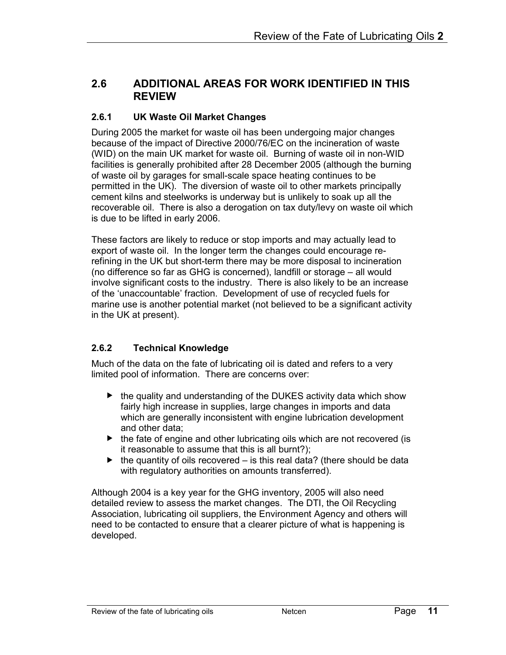### 2.6 ADDITIONAL AREAS FOR WORK IDENTIFIED IN THIS REVIEW

#### 2.6.1 UK Waste Oil Market Changes

During 2005 the market for waste oil has been undergoing major changes because of the impact of Directive 2000/76/EC on the incineration of waste (WID) on the main UK market for waste oil. Burning of waste oil in non-WID facilities is generally prohibited after 28 December 2005 (although the burning of waste oil by garages for small-scale space heating continues to be permitted in the UK). The diversion of waste oil to other markets principally cement kilns and steelworks is underway but is unlikely to soak up all the recoverable oil. There is also a derogation on tax duty/levy on waste oil which is due to be lifted in early 2006.

These factors are likely to reduce or stop imports and may actually lead to export of waste oil. In the longer term the changes could encourage rerefining in the UK but short-term there may be more disposal to incineration (no difference so far as GHG is concerned), landfill or storage – all would involve significant costs to the industry. There is also likely to be an increase of the 'unaccountable' fraction. Development of use of recycled fuels for marine use is another potential market (not believed to be a significant activity in the UK at present).

#### 2.6.2 Technical Knowledge

Much of the data on the fate of lubricating oil is dated and refers to a very limited pool of information. There are concerns over:

- $\blacktriangleright$  the quality and understanding of the DUKES activity data which show fairly high increase in supplies, large changes in imports and data which are generally inconsistent with engine lubrication development and other data;
- $\blacktriangleright$  the fate of engine and other lubricating oils which are not recovered (is it reasonable to assume that this is all burnt?);
- $\blacktriangleright$  the quantity of oils recovered is this real data? (there should be data with regulatory authorities on amounts transferred).

Although 2004 is a key year for the GHG inventory, 2005 will also need detailed review to assess the market changes. The DTI, the Oil Recycling Association, lubricating oil suppliers, the Environment Agency and others will need to be contacted to ensure that a clearer picture of what is happening is developed.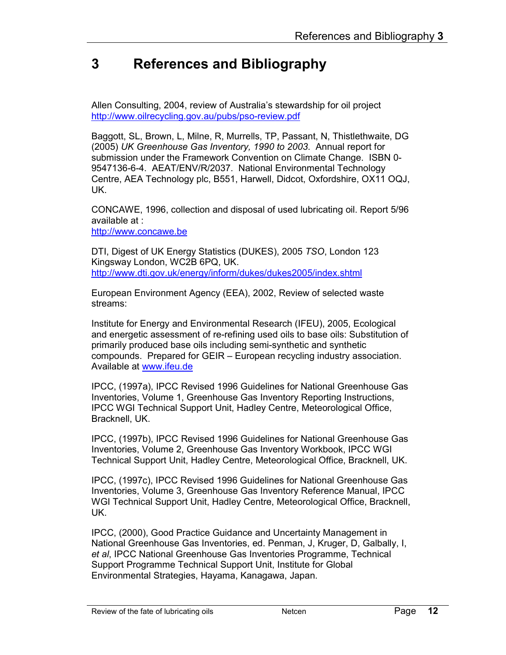### 3 References and Bibliography

Allen Consulting, 2004, review of Australia's stewardship for oil project http://www.oilrecycling.gov.au/pubs/pso-review.pdf

Baggott, SL, Brown, L, Milne, R, Murrells, TP, Passant, N, Thistlethwaite, DG (2005) UK Greenhouse Gas Inventory, 1990 to 2003. Annual report for submission under the Framework Convention on Climate Change. ISBN 0- 9547136-6-4. AEAT/ENV/R/2037. National Environmental Technology Centre, AEA Technology plc, B551, Harwell, Didcot, Oxfordshire, OX11 OQJ, UK.

CONCAWE, 1996, collection and disposal of used lubricating oil. Report 5/96 available at :

http://www.concawe.be

DTI, Digest of UK Energy Statistics (DUKES), 2005 TSO, London 123 Kingsway London, WC2B 6PQ, UK. http://www.dti.gov.uk/energy/inform/dukes/dukes2005/index.shtml

European Environment Agency (EEA), 2002, Review of selected waste streams:

Institute for Energy and Environmental Research (IFEU), 2005, Ecological and energetic assessment of re-refining used oils to base oils: Substitution of primarily produced base oils including semi-synthetic and synthetic compounds. Prepared for GEIR – European recycling industry association. Available at www.ifeu.de

IPCC, (1997a), IPCC Revised 1996 Guidelines for National Greenhouse Gas Inventories, Volume 1, Greenhouse Gas Inventory Reporting Instructions, IPCC WGI Technical Support Unit, Hadley Centre, Meteorological Office, Bracknell, UK.

IPCC, (1997b), IPCC Revised 1996 Guidelines for National Greenhouse Gas Inventories, Volume 2, Greenhouse Gas Inventory Workbook, IPCC WGI Technical Support Unit, Hadley Centre, Meteorological Office, Bracknell, UK.

IPCC, (1997c), IPCC Revised 1996 Guidelines for National Greenhouse Gas Inventories, Volume 3, Greenhouse Gas Inventory Reference Manual, IPCC WGI Technical Support Unit, Hadley Centre, Meteorological Office, Bracknell, UK.

IPCC, (2000), Good Practice Guidance and Uncertainty Management in National Greenhouse Gas Inventories, ed. Penman, J, Kruger, D, Galbally, I, et al, IPCC National Greenhouse Gas Inventories Programme, Technical Support Programme Technical Support Unit, Institute for Global Environmental Strategies, Hayama, Kanagawa, Japan.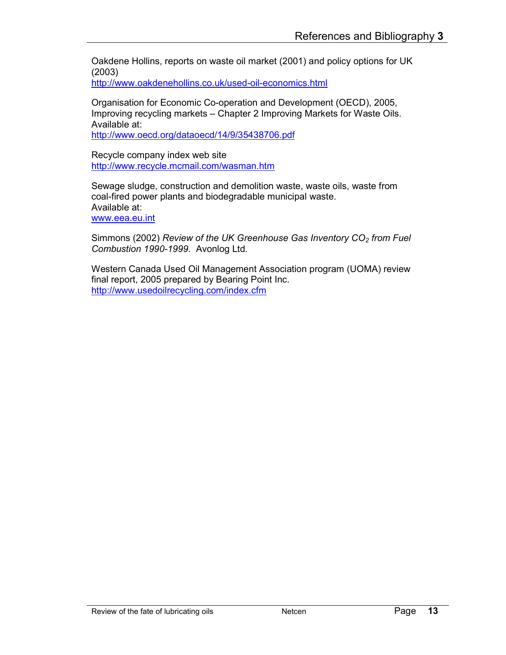Oakdene Hollins, reports on waste oil market (2001) and policy options for UK (2003)

http://www.oakdenehollins.co.uk/used-oil-economics.html

Organisation for Economic Co-operation and Development (OECD), 2005, Improving recycling markets – Chapter 2 Improving Markets for Waste Oils. Available at:

http://www.oecd.org/dataoecd/14/9/35438706.pdf

Recycle company index web site http://www.recycle.mcmail.com/wasman.htm

Sewage sludge, construction and demolition waste, waste oils, waste from coal-fired power plants and biodegradable municipal waste. Available at:

www.eea.eu.int

Simmons (2002) Review of the UK Greenhouse Gas Inventory  $CO<sub>2</sub>$  from Fuel Combustion 1990-1999. Avonlog Ltd.

Western Canada Used Oil Management Association program (UOMA) review final report, 2005 prepared by Bearing Point Inc. http://www.usedoilrecycling.com/index.cfm